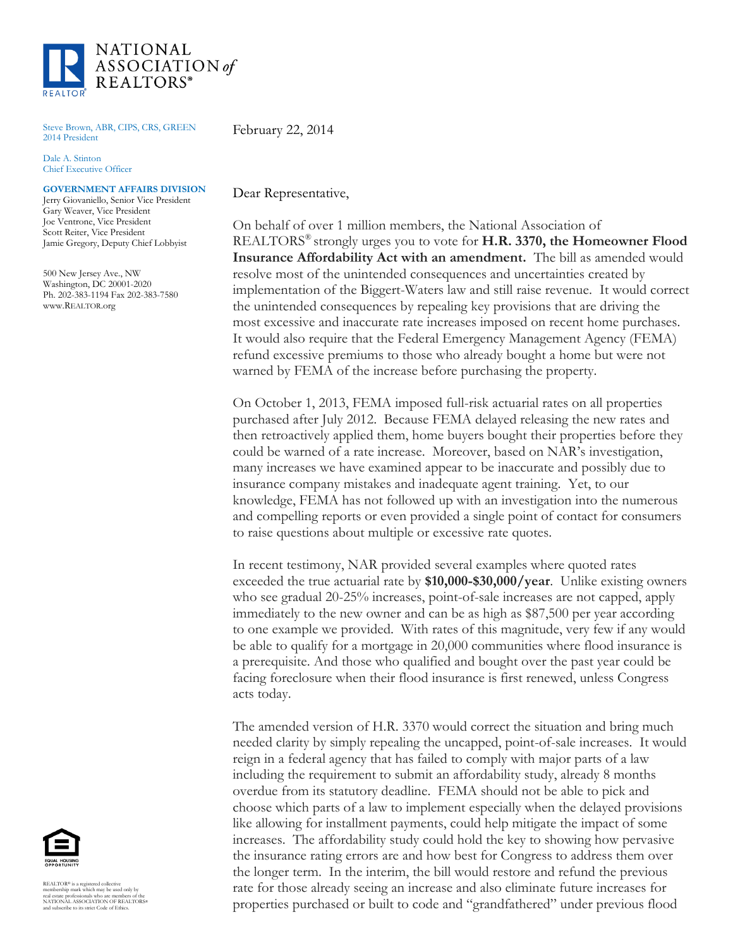

Steve Brown, ABR, CIPS, CRS, GREEN 2014 President

Dale A. Stinton Chief Executive Officer

## **GOVERNMENT AFFAIRS DIVISION**

Jerry Giovaniello, Senior Vice President Gary Weaver, Vice President Joe Ventrone, Vice President Scott Reiter, Vice President Jamie Gregory, Deputy Chief Lobbyist

500 New Jersey Ave., NW Washington, DC 20001-2020 Ph. 202-383-1194 Fax 202-383-7580 www.REALTOR.org

February 22, 2014

## Dear Representative,

On behalf of over 1 million members, the National Association of REALTORS® strongly urges you to vote for **H.R. 3370, the Homeowner Flood Insurance Affordability Act with an amendment.** The bill as amended would resolve most of the unintended consequences and uncertainties created by implementation of the Biggert-Waters law and still raise revenue. It would correct the unintended consequences by repealing key provisions that are driving the most excessive and inaccurate rate increases imposed on recent home purchases. It would also require that the Federal Emergency Management Agency (FEMA) refund excessive premiums to those who already bought a home but were not warned by FEMA of the increase before purchasing the property.

On October 1, 2013, FEMA imposed full-risk actuarial rates on all properties purchased after July 2012. Because FEMA delayed releasing the new rates and then retroactively applied them, home buyers bought their properties before they could be warned of a rate increase. Moreover, based on NAR's investigation, many increases we have examined appear to be inaccurate and possibly due to insurance company mistakes and inadequate agent training. Yet, to our knowledge, FEMA has not followed up with an investigation into the numerous and compelling reports or even provided a single point of contact for consumers to raise questions about multiple or excessive rate quotes.

In recent testimony, NAR provided several examples where quoted rates exceeded the true actuarial rate by **\$10,000-\$30,000/year**. Unlike existing owners who see gradual 20-25% increases, point-of-sale increases are not capped, apply immediately to the new owner and can be as high as \$87,500 per year according to one example we provided. With rates of this magnitude, very few if any would be able to qualify for a mortgage in 20,000 communities where flood insurance is a prerequisite. And those who qualified and bought over the past year could be facing foreclosure when their flood insurance is first renewed, unless Congress acts today.

The amended version of H.R. 3370 would correct the situation and bring much needed clarity by simply repealing the uncapped, point-of-sale increases. It would reign in a federal agency that has failed to comply with major parts of a law including the requirement to submit an affordability study, already 8 months overdue from its statutory deadline. FEMA should not be able to pick and choose which parts of a law to implement especially when the delayed provisions like allowing for installment payments, could help mitigate the impact of some increases. The affordability study could hold the key to showing how pervasive the insurance rating errors are and how best for Congress to address them over the longer term. In the interim, the bill would restore and refund the previous rate for those already seeing an increase and also eliminate future increases for properties purchased or built to code and "grandfathered" under previous flood



REALTOR® is a registered collective membership mark which may be used only by real estate professionals who are members of the NATIONAL ASSOCIATION OF REALTORS® and subscribe to its strict Code of Ethics.